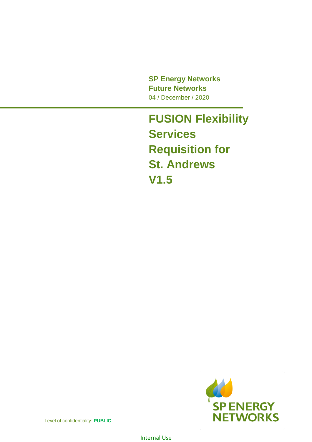**SP Energy Networks Future Networks** 04 / December / 2020

**FUSION Flexibility Services Requisition for St. Andrews V1.5**



Level of confidentiality: **PUBLIC**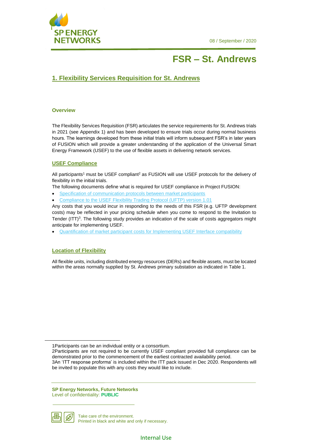

## **FSR – St. Andrews**

## **1. Flexibility Services Requisition for St. Andrews**

#### **Overview**

The Flexibility Services Requisition (FSR) articulates the service requirements for St. Andrews trials in 2021 (see Appendix 1) and has been developed to ensure trials occur during normal business hours. The learnings developed from these initial trials will inform subsequent FSR's in later years of FUSION which will provide a greater understanding of the application of the Universal Smart Energy Framework (USEF) to the use of flexible assets in delivering network services.

#### **USEF Compliance**

All participants<sup>1</sup> must be USEF compliant<sup>2</sup> as FUSION will use USEF protocols for the delivery of flexibility in the initial trials.

The following documents define what is required for USEF compliance in Project FUSION:

- [Specification of communication protocols between market participants](https://www.spenergynetworks.co.uk/userfiles/file/D4.2_specification_of_communication_protocols_between_market_participants.pdf)
- [Compliance to the USEF Flexibility Trading Protocol \(UFTP\) version 1.01](https://www.usef.energy/usef-flexibility-trading-protocol-specification/)

Any costs that you would incur in responding to the needs of this FSR (e.g. UFTP development costs) may be reflected in your pricing schedule when you come to respond to the Invitation to Tender (ITT)<sup>3</sup>. The following study provides an indication of the scale of costs aggregators might anticipate for implementing USEF.

• [Quantification of market participant costs for Implementing USEF Interface compatibility](https://www.spenergynetworks.co.uk/userfiles/file/D4.4_quantification_of_market_participant_costs_for_implementing_USEF.pdf)

#### **Location of Flexibility**

All flexible units, including distributed energy resources (DERs) and flexible assets, must be located within the areas normally supplied by St. Andrews primary substation as indicated in [Table 1.](#page-2-0)

be invited to populate this with any costs they would like to include.

**SP Energy Networks, Future Networks** Level of confidentiality: **PUBLIC**



<u>.</u>

<sup>1</sup>Participants can be an individual entity or a consortium.

<sup>2</sup>Participants are not required to be currently USEF compliant provided full compliance can be demonstrated prior to the commencement of the earliest contracted availability period. 3An 'ITT response proforma' is included within the ITT pack issued in Dec 2020. Respondents will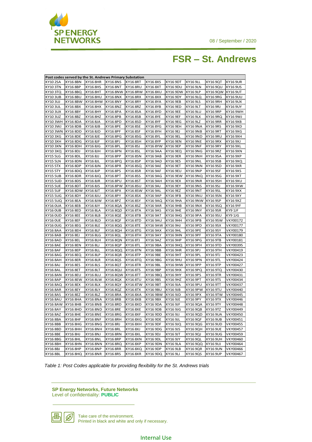

## **FSR – St. Andrews**

| Post codes served by the St. Andrews Primary Substation |                 |                 |                   |                 |                 |                 |                 |                 |                 |
|---------------------------------------------------------|-----------------|-----------------|-------------------|-----------------|-----------------|-----------------|-----------------|-----------------|-----------------|
| KY10 2SA                                                | <b>KY16 8BN</b> | <b>KY16 8HR</b> | <b>KY168NS</b>    | <b>KY16 8RT</b> | KY168XS         | <b>KY16 9DT</b> | <b>KY16 9LL</b> | KY16 9QT        | <b>KY16 9UR</b> |
| <b>KY10 3TN</b>                                         | KY168BP         | <b>KY16 8HS</b> | <b>KY16 8NT</b>   | <b>KY16 8RU</b> | KY168XT         | KY16 9DU        | <b>KY16 9LN</b> | KY16 9QU        | <b>KY16 9US</b> |
| KY10 3TQ                                                | KY16 8BQ        | <b>KY16 8HT</b> | KY16 8NW KY16 8RW |                 | <b>KY16 8XU</b> | KY16 9DW        | <b>KY16 9LP</b> | KY16 9QW        | KY16 9UT        |
| <b>KY10 3UB</b>                                         | <b>KY16 8BU</b> | KY16 8HU        | KY16 8NX          | KY16 8RX        | KY16 8XX        | KY16 9DY        | KY16 9LQ        | KY16 9RG        | KY16 9UU        |
| KY103UJ                                                 | <b>KY16 8BW</b> | <b>KY16 8HW</b> | KY16 8NY          | KY168RY         | KY16 8YA        | KY16 9EB        | <b>KY16 9LS</b> | KY16 9RH        | KY16 9UX        |
| <b>KY103UL</b>                                          | KY168BX         | <b>KY16 8HX</b> | KY16 8NZ          | KY16 8RZ        | <b>KY16 8YB</b> | KY16 9ED        | KY16 9LT        | KY16 9RJ        | KY16 9UY        |
| KY103UX                                                 | <b>KY16 8BY</b> | KY16 8HY        | KY16 8PA          | KY16 8SA        | KY16 8YD        | KY16 9EE        | KY16 9LU        | <b>KY16 9RP</b> | KY16 9WH        |
| <b>KY103UZ</b>                                          | KY168BZ         | KY16 8HZ        | KY16 8PB          | KY168SB         | KY16 8YE        | KY16 9EF        | KY16 9LX        | KY16 9RQ        | KY16 9WJ        |
| KY10 3WH                                                | <b>KY16 8DA</b> | KY16 8JA        | KY16 8PD          | KY168SD         | KY16 8YF        | KY16 9EG        | KY16 9LZ        | <b>KY16 9RR</b> | KY16 9XB        |
| <b>KY10 3WJ</b>                                         | <b>KY16 8DB</b> | KY16 8JB        | KY16 8PE          | KY168SE         | KY16 8YG        | KY16 9EH        | <b>KY16 9NA</b> | <b>KY16 9RS</b> | <b>KY16 9XD</b> |
| KY103WN                                                 | <b>KY16 8DD</b> | KY16 8JD        | KY16 8PF          | <b>KY16 8SF</b> | KY16 8YH        | KY16 9EJ        | <b>KY16 9NB</b> | <b>KY16 9RT</b> | KY16 9XG        |
| KY103XG                                                 | <b>KY16 8DE</b> | KY16 8JE        | KY16 8PG          | KY168SG         | KY16 8YL        | KY16 9EL        | <b>KY16 9ND</b> | KY16 9RU        | KY16 9XH        |
| KY103XH                                                 | <b>KY16 8DG</b> | KY16 8JF        | KY16 8PJ          | KY16 8SH        | KY168YP         | <b>KY16 9EN</b> | KY16 9NE        | <b>KY16 9RX</b> | KY16 9XJ        |
| KY10 3XN                                                | KY16 8DH        | KY16 8JG        | <b>KY16 8PL</b>   | KY16 8SJ        | KY16 8YW        | KY16 9EP        | KY16 9NF        | <b>KY16 9RY</b> | KY16 9XL        |
| KY103XQ                                                 | KY16 8DJ        | KY16 8JH        | KY16 8PN          | KY16 8SL        | KY16 9AA        | KY16 9EQ        | KY16 9NG        | KY16 9RZ        | KY16 9XN        |
| <b>KY15 5LG</b>                                         | KY16 8DL        | KY16 8JJ        | KY168PP           | KY168SN         | <b>KY16 9AB</b> | KY16 9ER        | KY16 9NH        | KY169SA         | KY169XP         |
| <b>KY15 5LN</b>                                         | <b>KY16 8DN</b> | KY16 8JL        | KY16 8PQ          | KY168SP         | <b>KY16 9AD</b> | KY16 9ES        | <b>KY16 9NL</b> | KY169SB         | KY16 9XQ        |
| <b>KY15 5TX</b>                                         | <b>KY16 8DP</b> | KY16 8JN        | KY16 8PR          | KY16 8SQ        | <b>KY16 9AE</b> | KY16 9ET        | KY16 9NN        | KY169SD         | KY16 9XR        |
| <b>KY15 5TY</b>                                         | KY16 8DQ        | KY16 8JP        | KY16 8PS          | KY168SR         | KY16 9AF        | KY16 9EU        | KY16 9NP        | <b>KY16 9SF</b> | KY16 9XS        |
| <b>KY15 5UB</b>                                         | <b>KY16 8DR</b> | KY168JQ         | KY16 8PT          | KY168SS         | KY16 9AG        | KY16 9EW        | KY16 9NQ        | KY16 9SG        | KY16 9XT        |
| KY15 5UD                                                | KY168DS         | KY16 8JR        | KY16 8PU          | KY168ST         | KY16 9AH        | KY16 9EX        | KY16 9NR        | KY169SH         | KY16 9XU        |
| <b>KY15 5UE</b>                                         | KY16 8DT        | KY168JS         | KY16 8PW          | <b>KY168SU</b>  | KY16 9AJ        | KY16 9EY        | KY16 9NS        | KY16 9SJ        | KY16 9XW        |
| <b>KY15 5UF</b>                                         | KY16 8DW        | KY16 8JT        | KY16 8PX          | KY168SW         | <b>KY16 9AL</b> | KY16 9EZ        | KY16 9NT        | KY169SL         | KY16 9XX        |
| <b>KY15 5UG</b>                                         | <b>KY16 8DY</b> | KY168JU         | KY168PY           | KY168SX         | <b>KY16 9AP</b> | KY16 9FB        | KY16 9NU        | KY169SN         | KY16 9XY        |
| <b>KY15 5UQ</b>                                         | <b>KY16 8EA</b> | KY16 8JW        | KY168PZ           | KY168SY         | KY16 9AQ        | <b>KY16 9HA</b> | KY16 9NW        | <b>KY16 9SP</b> | KY16 9XZ        |
| <b>KY16 OUA</b>                                         | <b>KY16 8EB</b> | KY16 8JY        | KY16 8QA          | KY168SZ         | KY16 9AR        | KY16 9HB        | KY16 9NX        | KY16 9SQ        | KY16 9YF        |
| <b>KY16 OUB</b>                                         | <b>KY16 8ED</b> | <b>KY16 8LA</b> | KY16 8QD          | KY16 8TA        | <b>KY16 9AS</b> | KY16 9HE        | <b>KY16 9NY</b> | <b>KY16 9SR</b> | KY9 1JF         |
| KY16 OUD                                                | KY16 8EE        | KY16 8LB        | KY16 8QE          | KY16 8TB        | KY16 9AT        | KY16 9HG        | <b>KY16 9PA</b> | KY169SU         | KY9 1JG         |
| <b>KY16 OUE</b>                                         | <b>KY16 8EF</b> | KY16 8LD        | KY16 8QF          | KY16 8TD        | KY16 9AU        | KY16 9HH        | KY16 9PB        | KY169SW         | VKY00172        |
| KY16 0UG                                                | KY16 8EG        | <b>KY16 8LE</b> | KY16 8QG          | KY16 8TE        | KY16 9AW        | KY16 9HJ        | KY16 9PD        | KY16 9SX        | VKY00177        |
| <b>KY16 8AA</b>                                         | <b>KY16 8EH</b> | <b>KY16 8LF</b> | KY16 8QH          | KY16 8TG        | KY16 9AX        | KY16 9HL        | <b>KY16 9PE</b> | KY16 9SY        | VKY00179        |
| <b>KY16 8AB</b>                                         | KY16 8EJ        | KY16 8LG        | KY16 8QL          | <b>KY16 8TH</b> | KY16 9AY        | KY16 9HN        | <b>KY16 9PF</b> | KY16 9TA        | VKY00180        |
| <b>KY16 8AD</b>                                         | <b>KY16 8EL</b> | KY16 8LH        | KY16 8QN          | KY16 8TJ        | KY16 9AZ        | KY16 9HP        | KY16 9PG        | <b>KY16 9TB</b> | VKY00181        |
| KY16 8AE                                                | <b>KY16 8EN</b> | KY16 8LJ        | KY16 8QP          | KY16 8TL        | KY16 9BA        | KY16 9HQ        | KY16 9PH        | KY16 9TD        | VKY00395        |
| <b>KY16 8AF</b>                                         | <b>KY16 8EP</b> | KY16 8LL        | KY16 8QQ          | KY16 8TN        | KY16 9BB        | KY16 9HR        | KY16 9PJ        | KY16 9TH        | VKY00419        |
| KY16 8AG                                                | KY16 8EQ        | <b>KY16 8LP</b> | KY16 8QR          | KY16 8TP        | KY16 9BE        | KY16 9HT        | <b>KY16 9PL</b> | KY16 9TJ        | VKY00423        |
| KY16 8AH                                                | KY16 8ER        | <b>KY16 8LR</b> | KY16 8QS          | KY16 8TQ        | KY16 9BG        | <b>KY16 9HU</b> | KY16 9PN        | KY16 9TL        | VKY00424        |
| KY16 8AJ                                                | KY16 8ES        | KY16 8LS        | KY16 8QT          | KY16 8TR        | <b>KY16 9BL</b> | KY16 9HW        | KY16 9PP        | <b>KY16 9TP</b> | VKY00427        |
| <b>KY16 8AL</b>                                         | <b>KY16 8ET</b> | KY16 8LT        | KY16 8QU          | KY16 8TS        | KY16 9BP        | KY16 9HX        | KY16 9PQ        | KY16 9TQ        | VKY00430        |
| <b>KY16 8AN</b>                                         | <b>KY16 8EU</b> | <b>KY16 8LU</b> | KY16 8QW          | KY16 8TT        | KY16 9BQ        | KY16 9HY        | KY16 9PS        | KY16 9TR        | VKY00431        |
| <b>KY16 8AP</b>                                         | <b>KY16 8EW</b> | <b>KY16 8LW</b> | KY16 8QX          | <b>KY16 8TU</b> | KY169BS         | KY16 9HZ        | <b>KY16 9PT</b> | <b>KY16 9TS</b> | VKY00434        |
| KY16 8AQ                                                | KY16 8EX        | KY16 8LX        | KY16 8QY          | KY16 8TW        | KY16 9BT        | KY16 9JA        | KY16 9PU        | KY16 9TT        | VKY00437        |
| KY16 8AR                                                | KY16 8EY        | KY16 8LY        | KY16 8QZ          | KY16 8TX        | KY16 9BU        | KY16 9JB        | KY16 9PW        | <b>KY16 9TU</b> | VKY00440        |
| KY16 8AS                                                | KY16 8EZ        | <b>KY16 8LZ</b> | KY16 8RA          | KY168XA         | KY16 9BW        | KY16 9JD        | KY16 9PX        | <b>KY16 9TW</b> | VKY00445        |
| KY16 8AU                                                | KY16 8HA        | <b>KY16 8NA</b> | KY16 8RB          | KY168XB         | KY16 9BX        | KY16 9JE        | KY16 9PY        | KY16 9TX        | VKY00446        |
| KY168AW                                                 | <b>KY16 8HB</b> | <b>KY16 8NB</b> | KY16 8RD          | <b>KY16 8XD</b> | KY16 9DA        | KY16 9JF        | KY169QA         | <b>KY16 9TY</b> | VKY00448        |
| KY16 8AY                                                | KY16 8HD        | <b>KY16 8ND</b> | <b>KY16 8RE</b>   | <b>KY16 8XE</b> | KY169DB         | KY16 9JG        | KY169QB         | KY16 9TZ        | VKY00449        |
| <b>KY16 8AZ</b>                                         | <b>KY16 8HE</b> | <b>KY16 8NE</b> | KY16 8RG          | <b>KY16 8XF</b> | KY16 9DD        | KY16 9JJ        | KY16 9QD        | <b>KY16 9UA</b> | VKY00450        |
| KY16 8BA                                                | KY16 8HF        | KY16 8NF        | KY16 8RH          | KY16 8XG        | KY16 9DE        | KY16 9JL        | KY16 9QF        | <b>KY16 9UB</b> | VKY00451        |
| <b>KY16 8BB</b>                                         | KY16 8HG        | KY16 8NG        | KY16 8RJ          | KY16 8XH        | KY16 9DF        | KY16 9JQ        | KY169QG         | <b>KY16 9UD</b> | VKY00455        |
| KY168BD                                                 | KY16 8HH        | KY16 8NH        | <b>KY16 8RL</b>   | KY16 8XJ        | KY16 9DG        | KY16 9JS        | KY16 9QH        | <b>KY16 9UE</b> | VKY00457        |
| <b>KY16 8BE</b>                                         | KY16 8HJ        | KY16 8NJ        | KY16 8RN          | KY16 8XL        | KY16 9DJ        | KY16 9JT        | KY16 9QJ        | KY16 9UG        | VKY00459        |
| KY168BG                                                 | KY16 8HL        | KY16 8NL        | KY16 8RP          | KY16 8XN        | KY16 9DL        | KY16 9JY        | KY16 9QL        | KY16 9UH        | VKY00460        |
| KY16 8BH                                                | KY16 8HN        | KY16 8NN        | KY16 8RQ          | <b>KY16 8XP</b> | KY16 9DN        | KY16 9LA        | KY16 9QQ        | KY16 9UJ        | VKY00464        |
| KY168BJ                                                 | <b>KY16 8HP</b> | <b>KY16 8NP</b> | KY16 8RR          | KY16 8XQ        | KY16 9DP        | KY16 9LB        | KY16 9QR        | <b>KY16 9UN</b> | VKY00466        |
| KY16 8BL                                                | <b>KY16 8HQ</b> | KY16 8NR        | KY16 8RS          | KY16 8XR        | KY16 9DQ        | KY16 9LJ        | KY16 9QS        | <b>KY16 9UP</b> | VKY00467        |

<span id="page-2-0"></span>*Table 1: Post Codes applicable for providing flexibility for the St. Andrews trials*

#### **SP Energy Networks, Future Networks** Level of confidentiality: **PUBLIC**



Take care of the environment. Printed in black and white and only if necessary.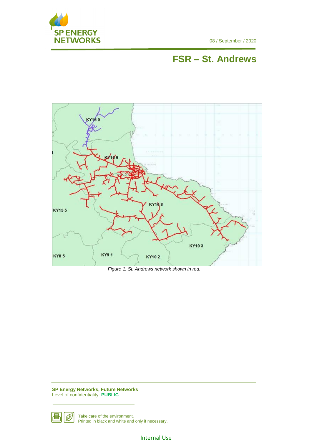

08 / September / 2020

# **FSR – St. Andrews**



*Figure 1: St. Andrews network shown in red.*

**SP Energy Networks, Future Networks** Level of confidentiality: **PUBLIC**



Take care of the environment. Printed in black and white and only if necessary.

Internal Use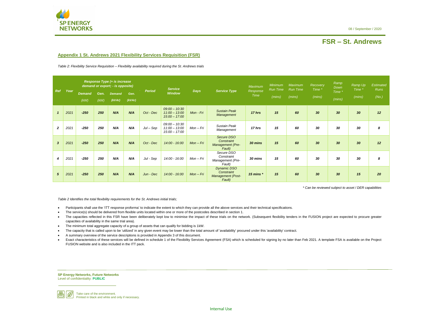

# **FSR – St. Andrews**

**SP Energy Networks, Future Networks** Level of confidentiality: **PUBLIC**



Take care of the environment. Printed in black and white and only if necessary.

#### **Appendix 1 St. Andrews 2021 Flexibility Services Requisition (FSR)**

<span id="page-4-0"></span>*Table 2: Flexibility Service Requisition – Flexibility availability required during the St. Andrews trials*

*\* Can be reviewed subject to asset / DER capabilities*

*[Table 2](#page-4-0) Identifies the total flexibility requirements for the St. Andrews initial trials;*

- Participants shall use the 'ITT response proforma' to indicate the extent to which they can provide all the above services and their technical specifications.
- The service(s) should be delivered from flexible units located within one or more of the postcodes described in section 1.
- The capacities reflected in this FSR have been deliberately kept low to minimise the impact of these trials on the network. (Subsequent flexibility tenders in the FUSION project are expected to procure greater capacities of availability in the same trial area).
- The minimum total aggregate capacity of a group of assets that can qualify for bidding is 1kW.
- The capacity that is called upon to be 'utilized' in any given event may be lower than the total amount of 'availability' procured under this 'availability' contract.
- A summary overview of the service descriptions is provided in Appendix 3 of this document.
- Exact characteristics of these services will be defined in schedule 1 of the Flexibility Services Agreement (FSA) which is scheduled for signing by no later than Feb 2021. A template FSA is available on the Project FUSION website and is also included in the ITT pack.

| <b>Ref</b>       | Year | <b>Response Type (+ is increase</b><br>demand or export; - is opposite) |              |                         |                | <b>Service</b> |                                                       | <b>Service Type</b> | <b>Maximum</b>                                                         | <b>Minimum</b><br>Run Time | Maximum<br><b>Run Time</b> | Recovery<br>Time * | Ramp<br>Down | Ramp Up<br>Time * | <b>Estimated</b><br>Runs |       |
|------------------|------|-------------------------------------------------------------------------|--------------|-------------------------|----------------|----------------|-------------------------------------------------------|---------------------|------------------------------------------------------------------------|----------------------------|----------------------------|--------------------|--------------|-------------------|--------------------------|-------|
|                  |      | <b>Demand</b><br>(kW)                                                   | Gen.<br>(kW) | <b>Demand</b><br>(KVAr) | Gen.<br>(kVar) | <b>Period</b>  | <b>Window</b>                                         | <b>Days</b>         |                                                                        | Response<br><b>Time</b>    | (mins)                     | (mins)             | (mins)       | Time *<br>(mins)  | (mins)                   | (No.) |
| $\mathbf{1}$     | 2021 | $-250$                                                                  | 250          | N/A                     | N/A            | Oct - Dec      | $09:00 - 10:30$<br>$11:00 - 13:00$<br>$15:00 - 17:00$ | Mon - Fri           | <b>Sustain Peak</b><br>Management                                      | 17 hrs                     | 15                         | 60                 | 30           | 30                | 30 <sub>2</sub>          | 12    |
| $\overline{2}$   | 2021 | $-250$                                                                  | 250          | N/A                     | N/A            | $Jul - Sep$    | $09:00 - 10:30$<br>$11:00 - 13:00$<br>$15:00 - 17:00$ | Mon-Fri             | <b>Sustain Peak</b><br>Management                                      | 17 hrs                     | 15                         | 60                 | 30           | 30                | 30                       | 8     |
| $\mathbf{3}$     | 2021 | $-250$                                                                  | 250          | N/A                     | N/A            | Oct - Dec      | 14:00 - 16:00                                         | $Mon-Fri$           | Secure DSO<br>Constraint<br>Management (Pre-<br>Fault)                 | 30 mins                    | 15                         | 60                 | 30           | 30                | 30 <sub>2</sub>          | 12    |
| $\boldsymbol{4}$ | 2021 | $-250$                                                                  | 250          | N/A                     | N/A            | Jul - Sep      | 14:00 - 16:00                                         | Mon-Fri             | Secure DSO<br>Constraint<br>Management (Pre-<br>Fault)                 | 30 mins                    | 15                         | 60                 | 30           | 30                | 30                       | 8     |
| $5\overline{5}$  | 2021 | $-250$                                                                  | 250          | N/A                     | N/A            | Jun - Dec      | 14:00 - 16:00                                         | $Mon-Fri$           | <b>Dynamic DSO</b><br>Constraint<br><b>Management</b> (Post-<br>Fault) | 15 mins $*$                | 15                         | 60                 | 30           | 30                | 15                       | 20    |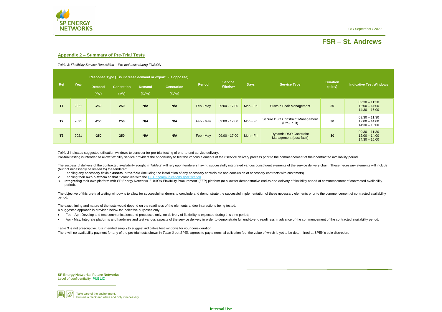08 / September / 2020



# **FSR – St. Andrews**

**SP Energy Networks, Future Networks** Level of confidentiality: **PUBLIC**



Take care of the environment. Printed in black and white and only if necessary.

#### **Appendix 2 – Summary of Pre-Trial Tests**

<span id="page-5-0"></span>*Table 3: Flexibility Service Requisition – Pre-trial tests during FUSION*

*[Table 3](#page-5-0)* indicates suggested utilisation windows to consider for pre-trial testing of end-to-end service delivery.

Pre-trial testing is intended to allow flexibility service providers the opportunity to test the various elements of their service delivery process prior to the commencement of their contracted availability period.

The successful delivery of the contracted availability sought in [Table 2](#page-4-0), will rely upon tenderers having successfully integrated various constituent elements of the service delivery chain. These necessary elements will in (but not necessarily be limited to) the tenderer:

The objective of this pre-trial testing window is to allow for successful tenderers to conclude and demonstrate the successful implementation of these necessary elements prior to the commencement of contracted availability period.

Table 3 is not prescriptive. It is intended simply to suggest indicative test windows for your consideration. There will no availability payment for any of the pre-trial tests shown in *[Table 3](#page-5-0)* but SPEN agrees to pay a nominal utilisation fee, the value of which is yet to be determined at SPEN's sole discretion.

- 1. Enabling any necessary flexible **assets in the field** (including the installation of any necessary controls etc and conclusion of necessary contracts with customers)
- 2. Enabling their **own platform** so that it complies with the UFTP
- 3. Integrating their own platform with SP Energy Networks 'FUSION Flexibility Procurement' (FFP) platform (to allow for demonstrative end-to-end delivery of flexibility ahead of commencement of contracted availability period).

The exact timing and nature of the tests would depend on the readiness of the elements and/or interactions being tested. A suggested approach is provided below for indicative purposes only;

- Feb Apr: Develop and test communications and processes only; no delivery of flexibility is expected during this time period;
- Apr May: Integrate platforms and hardware and test various aspects of the service delivery in order to demonstrate full end-to-end readiness in advance of the commencement of the contracted availability period.

|                |      |                       |                           | Response Type (+ is increase demand or export; - is opposite) |                             |               |                                 |             |                                                          |                           |                                                       |  |
|----------------|------|-----------------------|---------------------------|---------------------------------------------------------------|-----------------------------|---------------|---------------------------------|-------------|----------------------------------------------------------|---------------------------|-------------------------------------------------------|--|
| Ref            | Year | <b>Demand</b><br>(kW) | <b>Generation</b><br>(kW) | <b>Demand</b><br>(kVAr)                                       | <b>Generation</b><br>(kVAr) | <b>Period</b> | <b>Service</b><br><b>Window</b> | <b>Days</b> | <b>Service Type</b>                                      | <b>Duration</b><br>(mins) | <b>Indicative Test Windows</b>                        |  |
| T1             | 2021 | $-250$                | 250                       | N/A                                                           | N/A                         | Feb - May     | $09:00 - 17:00$                 | Mon - Fri   | <b>Sustain Peak Management</b>                           | 30                        | $09:30 - 11:30$<br>$12:00 - 14:00$<br>$14:30 - 16:00$ |  |
| T <sub>2</sub> | 2021 | $-250$                | 250                       | N/A                                                           | N/A                         | Feb - May     | $09:00 - 17:00$                 | Mon - Fri   | Secure DSO Constraint Management<br>(Pre-Fault)          | 30                        | $09:30 - 11:30$<br>$12:00 - 14:00$<br>$14:30 - 16:00$ |  |
| T3             | 2021 | $-250$                | 250                       | N/A                                                           | N/A                         | Feb - May     | $09:00 - 17:00$                 | Mon - Fri   | <b>Dynamic DSO Constraint</b><br>Management (post-fault) | 30                        | $09:30 - 11:30$<br>$12:00 - 14:00$<br>$14:30 - 16:00$ |  |